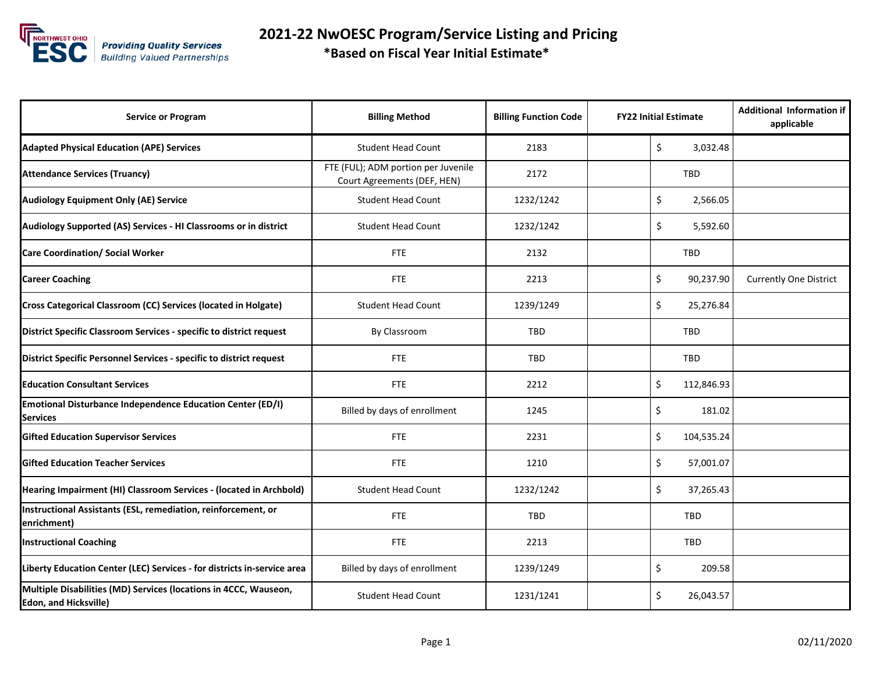

 **2021-22 NwOESC Program/Service Listing and Pricing \*Based on Fiscal Year Initial Estimate\***

| <b>Service or Program</b>                                                                        | <b>Billing Method</b>                                              | <b>Billing Function Code</b> | <b>FY22 Initial Estimate</b> | <b>Additional Information if</b><br>applicable |
|--------------------------------------------------------------------------------------------------|--------------------------------------------------------------------|------------------------------|------------------------------|------------------------------------------------|
| <b>Adapted Physical Education (APE) Services</b>                                                 | <b>Student Head Count</b>                                          | 2183                         | \$<br>3,032.48               |                                                |
| <b>Attendance Services (Truancy)</b>                                                             | FTE (FUL); ADM portion per Juvenile<br>Court Agreements (DEF, HEN) | 2172                         | <b>TBD</b>                   |                                                |
| <b>Audiology Equipment Only (AE) Service</b>                                                     | <b>Student Head Count</b>                                          | 1232/1242                    | \$<br>2,566.05               |                                                |
| Audiology Supported (AS) Services - HI Classrooms or in district                                 | <b>Student Head Count</b>                                          | 1232/1242                    | \$<br>5,592.60               |                                                |
| <b>Care Coordination/ Social Worker</b>                                                          | <b>FTE</b>                                                         | 2132                         | TBD                          |                                                |
| <b>Career Coaching</b>                                                                           | <b>FTE</b>                                                         | 2213                         | \$<br>90,237.90              | <b>Currently One District</b>                  |
| Cross Categorical Classroom (CC) Services (located in Holgate)                                   | <b>Student Head Count</b>                                          | 1239/1249                    | \$<br>25,276.84              |                                                |
| District Specific Classroom Services - specific to district request                              | By Classroom                                                       | <b>TBD</b>                   | <b>TBD</b>                   |                                                |
| District Specific Personnel Services - specific to district request                              | <b>FTE</b>                                                         | <b>TBD</b>                   | <b>TBD</b>                   |                                                |
| <b>Education Consultant Services</b>                                                             | <b>FTE</b>                                                         | 2212                         | \$<br>112,846.93             |                                                |
| <b>Emotional Disturbance Independence Education Center (ED/I)</b><br><b>Services</b>             | Billed by days of enrollment                                       | 1245                         | \$<br>181.02                 |                                                |
| <b>Gifted Education Supervisor Services</b>                                                      | <b>FTE</b>                                                         | 2231                         | Ś.<br>104,535.24             |                                                |
| <b>Gifted Education Teacher Services</b>                                                         | <b>FTE</b>                                                         | 1210                         | \$<br>57,001.07              |                                                |
| Hearing Impairment (HI) Classroom Services - (located in Archbold)                               | <b>Student Head Count</b>                                          | 1232/1242                    | Ś.<br>37,265.43              |                                                |
| Instructional Assistants (ESL, remediation, reinforcement, or<br>enrichment)                     | <b>FTE</b>                                                         | <b>TBD</b>                   | <b>TBD</b>                   |                                                |
| <b>Instructional Coaching</b>                                                                    | <b>FTE</b>                                                         | 2213                         | <b>TBD</b>                   |                                                |
| Liberty Education Center (LEC) Services - for districts in-service area                          | Billed by days of enrollment                                       | 1239/1249                    | Ś.<br>209.58                 |                                                |
| Multiple Disabilities (MD) Services (locations in 4CCC, Wauseon,<br><b>Edon, and Hicksville)</b> | <b>Student Head Count</b>                                          | 1231/1241                    | \$<br>26,043.57              |                                                |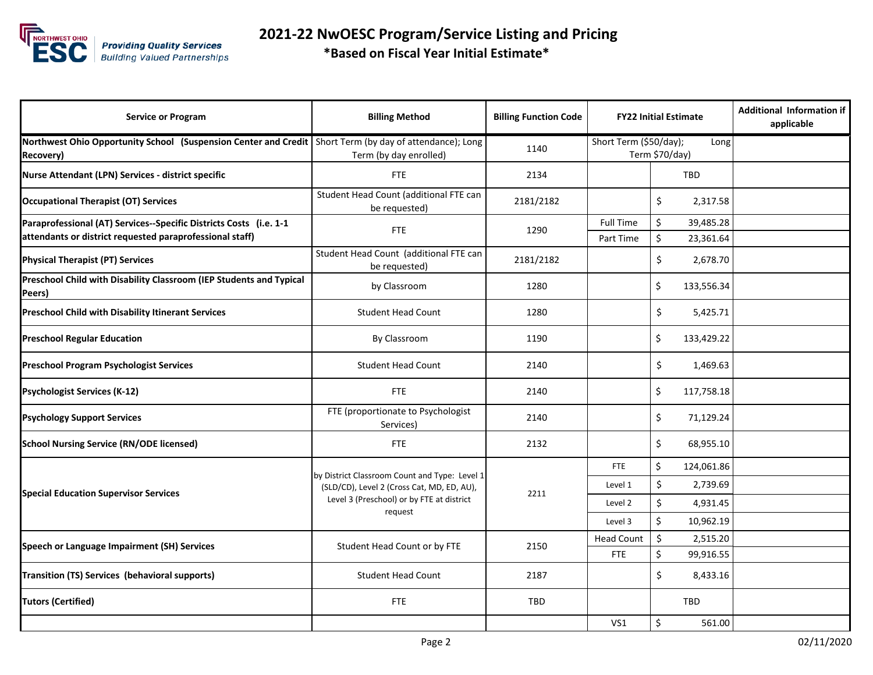

 **2021-22 NwOESC Program/Service Listing and Pricing \*Based on Fiscal Year Initial Estimate\***

| <b>Service or Program</b>                                                                                                      | <b>Billing Method</b>                                                                                                                               | <b>Billing Function Code</b> |                               | <b>FY22 Initial Estimate</b>       | <b>Additional Information if</b><br>applicable |
|--------------------------------------------------------------------------------------------------------------------------------|-----------------------------------------------------------------------------------------------------------------------------------------------------|------------------------------|-------------------------------|------------------------------------|------------------------------------------------|
| Northwest Ohio Opportunity School (Suspension Center and Credit<br>Recovery)                                                   | Short Term (by day of attendance); Long<br>Term (by day enrolled)                                                                                   | 1140                         | Short Term (\$50/day);        | Long<br>Term \$70/day)             |                                                |
| Nurse Attendant (LPN) Services - district specific                                                                             | <b>FTE</b>                                                                                                                                          | 2134                         | <b>TBD</b>                    |                                    |                                                |
| <b>Occupational Therapist (OT) Services</b>                                                                                    | Student Head Count (additional FTE can<br>be requested)                                                                                             | 2181/2182                    |                               | \$<br>2,317.58                     |                                                |
| Paraprofessional (AT) Services--Specific Districts Costs (i.e. 1-1<br>attendants or district requested paraprofessional staff) | <b>FTE</b>                                                                                                                                          | 1290                         | <b>Full Time</b><br>Part Time | \$<br>39,485.28<br>\$<br>23,361.64 |                                                |
| <b>Physical Therapist (PT) Services</b>                                                                                        | Student Head Count (additional FTE can<br>be requested)                                                                                             | 2181/2182                    |                               | \$<br>2,678.70                     |                                                |
| Preschool Child with Disability Classroom (IEP Students and Typical<br>Peers)                                                  | by Classroom                                                                                                                                        | 1280                         |                               | Ś<br>133,556.34                    |                                                |
| <b>Preschool Child with Disability Itinerant Services</b>                                                                      | <b>Student Head Count</b>                                                                                                                           | 1280                         |                               | Ś.<br>5,425.71                     |                                                |
| <b>Preschool Regular Education</b>                                                                                             | By Classroom                                                                                                                                        | 1190                         |                               | \$<br>133,429.22                   |                                                |
| <b>Preschool Program Psychologist Services</b>                                                                                 | <b>Student Head Count</b>                                                                                                                           | 2140                         |                               | \$<br>1,469.63                     |                                                |
| <b>Psychologist Services (K-12)</b>                                                                                            | <b>FTE</b>                                                                                                                                          | 2140                         |                               | Ś<br>117,758.18                    |                                                |
| <b>Psychology Support Services</b>                                                                                             | FTE (proportionate to Psychologist<br>Services)                                                                                                     | 2140                         |                               | \$<br>71,129.24                    |                                                |
| <b>School Nursing Service (RN/ODE licensed)</b>                                                                                | <b>FTE</b>                                                                                                                                          | 2132                         |                               | \$<br>68,955.10                    |                                                |
| <b>Special Education Supervisor Services</b>                                                                                   | by District Classroom Count and Type: Level 1<br>(SLD/CD), Level 2 (Cross Cat, MD, ED, AU),<br>Level 3 (Preschool) or by FTE at district<br>request | 2211                         | <b>FTE</b>                    | \$<br>124,061.86                   |                                                |
|                                                                                                                                |                                                                                                                                                     |                              | Level 1                       | \$<br>2,739.69                     |                                                |
|                                                                                                                                |                                                                                                                                                     |                              | Level 2                       | \$<br>4,931.45                     |                                                |
|                                                                                                                                |                                                                                                                                                     |                              | Level 3                       | \$<br>10,962.19                    |                                                |
| Speech or Language Impairment (SH) Services                                                                                    | Student Head Count or by FTE                                                                                                                        | 2150                         | <b>Head Count</b>             | Ś.<br>2,515.20                     |                                                |
|                                                                                                                                |                                                                                                                                                     |                              | <b>FTE</b>                    | Ś<br>99,916.55                     |                                                |
| Transition (TS) Services (behavioral supports)                                                                                 | <b>Student Head Count</b>                                                                                                                           | 2187                         |                               | Ś.<br>8,433.16                     |                                                |
| <b>Tutors (Certified)</b>                                                                                                      | <b>FTE</b>                                                                                                                                          | <b>TBD</b>                   |                               | TBD                                |                                                |
|                                                                                                                                |                                                                                                                                                     |                              | VS1                           | \$<br>561.00                       |                                                |